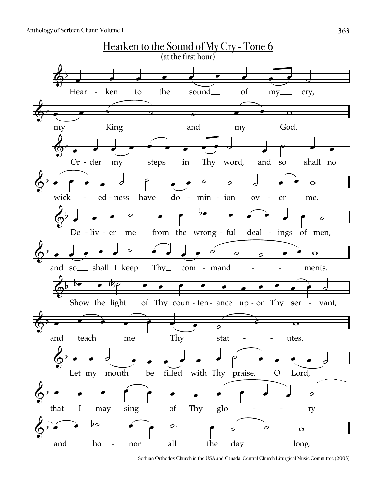

Serbian Orthodox Church in the USA and Canada: Central Church Liturgical Music Committee (2005)